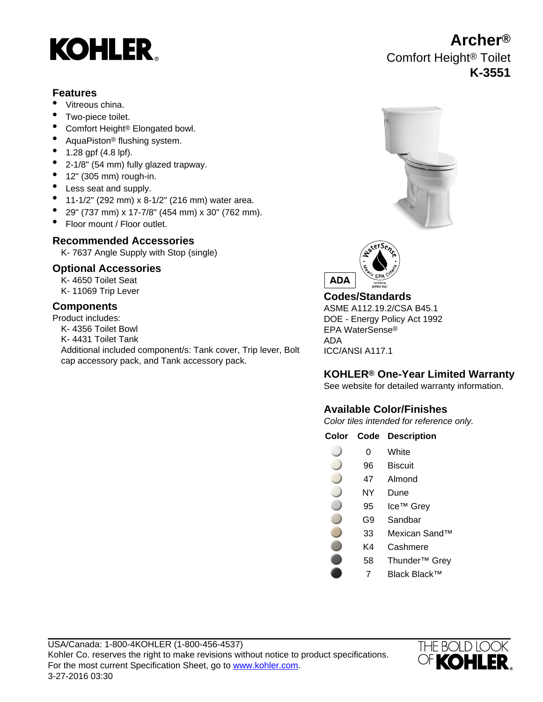# **KOHLER**

### **Features**

- Vitreous china.
- Two-piece toilet.
- Comfort Height<sup>®</sup> Elongated bowl.
- AquaPiston<sup>®</sup> flushing system.
- 1.28 gpf (4.8 lpf).
- 2-1/8" (54 mm) fully glazed trapway.
- $\bullet$  12" (305 mm) rough-in.
- Less seat and supply.
- 11-1/2" (292 mm) x 8-1/2" (216 mm) water area.
- 29" (737 mm) x 17-7/8" (454 mm) x 30" (762 mm).
- Floor mount / Floor outlet.

# **Recommended Accessories**

K- 7637 Angle Supply with Stop (single)

# **Optional Accessories**

K- 4650 Toilet Seat

## **Components**

Product includes: K- 4356 Toilet Bowl K- 4431 Toilet Tank Additional included component/s: Tank cover, Trip lever, Bolt cap accessory pack, and Tank accessory pack.





# K- 11069 Trip Lever **Codes/Standards**

ASME A112.19.2/CSA B45.1 DOE - Energy Policy Act 1992 EPA WaterSense® ADA ICC/ANSI A117.1

# **KOHLER® One-Year Limited Warranty**

See website for detailed warranty information.

# **Available Color/Finishes**

Color tiles intended for reference only.

|  | <b>Color Code Description</b> |
|--|-------------------------------|
|  |                               |

- 0 White
- 96 Biscuit
- 47 Almond
- NY Dune
- 95 Ice™ Grey
- G9 Sandbar
- 33 Mexican Sand™
- K4 Cashmere
- 58 Thunder™ Grey
	- 7 Black Black™



**Archer®** Comfort Height® Toilet **K-3551**